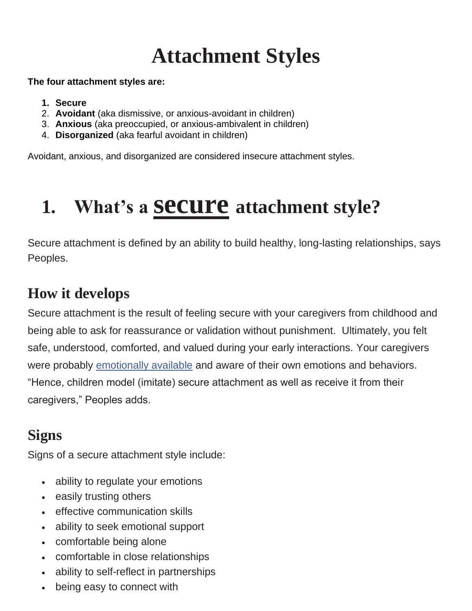## **Attachment Styles**

#### **The four attachment styles are:**

- **1. Secure**
- 2. **Avoidant** (aka dismissive, or anxious-avoidant in children)
- 3. **Anxious** (aka preoccupied, or anxious-ambivalent in children)
- 4. **Disorganized** (aka fearful avoidant in children)

Avoidant, anxious, and disorganized are considered insecure attachment styles.

### **1. What's a secure attachment style?**

Secure attachment is defined by an ability to build healthy, long-lasting relationships, says Peoples.

### **How it develops**

Secure attachment is the result of feeling secure with your caregivers from childhood and being able to ask for reassurance or validation without punishment. Ultimately, you felt safe, understood, comforted, and valued during your early interactions. Your caregivers were probably emotionally available and aware of their own emotions and behaviors. "Hence, children model (imitate) secure attachment as well as receive it from their caregivers," Peoples adds.

### **Signs**

Signs of a secure attachment style include:

- ability to regulate your emotions
- easily trusting others
- effective communication skills
- ability to seek emotional support
- comfortable being alone
- comfortable in close relationships
- ability to self-reflect in partnerships
- being easy to connect with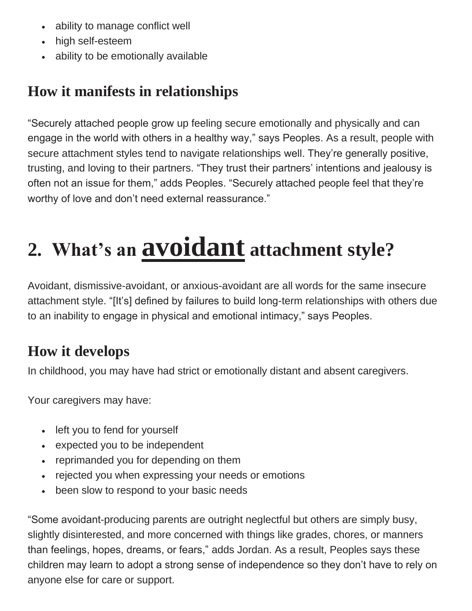- ability to manage conflict well
- high self-esteem
- ability to be emotionally available

### **How it manifests in relationships**

"Securely attached people grow up feeling secure emotionally and physically and can engage in the world with others in a healthy way," says Peoples. As a result, people with secure attachment styles tend to navigate relationships well. They're generally positive, trusting, and loving to their partners. "They trust their partners' intentions and jealousy is often not an issue for them," adds Peoples. "Securely attached people feel that they're worthy of love and don't need external reassurance."

# **2. What's an avoidant attachment style?**

Avoidant, dismissive-avoidant, or anxious-avoidant are all words for the same insecure attachment style. "[It's] defined by failures to build long-term relationships with others due to an inability to engage in physical and emotional intimacy," says Peoples.

### **How it develops**

In childhood, you may have had strict or emotionally distant and absent caregivers.

Your caregivers may have:

- left you to fend for yourself
- expected you to be independent
- reprimanded you for depending on them
- rejected you when expressing your needs or emotions
- been slow to respond to your basic needs

"Some avoidant-producing parents are outright neglectful but others are simply busy, slightly disinterested, and more concerned with things like grades, chores, or manners than feelings, hopes, dreams, or fears," adds Jordan. As a result, Peoples says these children may learn to adopt a strong sense of independence so they don't have to rely on anyone else for care or support.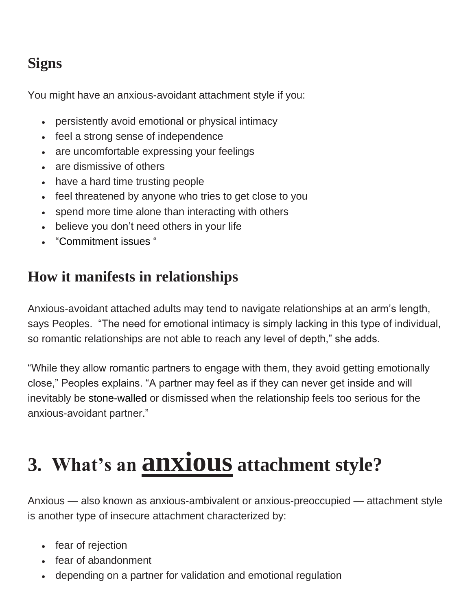### **Signs**

You might have an anxious-avoidant attachment style if you:

- persistently avoid emotional or physical intimacy
- feel a strong sense of independence
- are uncomfortable expressing your feelings
- are dismissive of others
- have a hard time trusting people
- feel threatened by anyone who tries to get close to you
- spend more time alone than interacting with others
- believe you don't need others in your life
- "Commitment issues "

### **How it manifests in relationships**

Anxious-avoidant attached adults may tend to navigate relationships at an arm's length, says Peoples. "The need for emotional intimacy is simply lacking in this type of individual, so romantic relationships are not able to reach any level of depth," she adds.

"While they allow romantic partners to engage with them, they avoid getting emotionally close," Peoples explains. "A partner may feel as if they can never get inside and will inevitably be stone-walled or dismissed when the relationship feels too serious for the anxious-avoidant partner."

# **3. What's an anxious attachment style?**

Anxious — also known as anxious-ambivalent or anxious-preoccupied — attachment style is another type of insecure attachment characterized by:

- fear of rejection
- fear of abandonment
- depending on a partner for validation and emotional regulation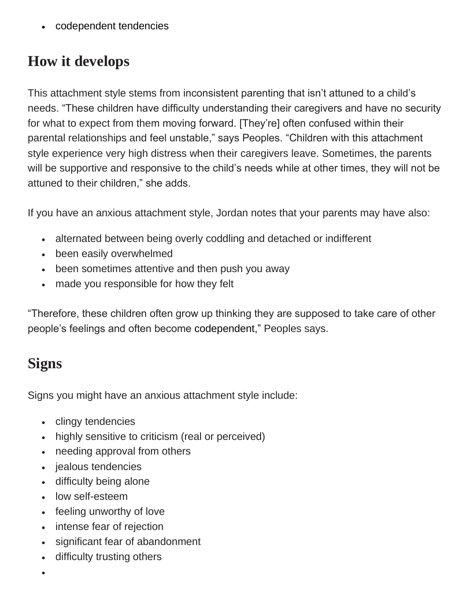• codependent tendencies

### **How it develops**

This attachment style stems from inconsistent parenting that isn't attuned to a child's needs. "These children have difficulty understanding their caregivers and have no security for what to expect from them moving forward. [They're] often confused within their parental relationships and feel unstable," says Peoples. "Children with this attachment style experience very high distress when their caregivers leave. Sometimes, the parents will be supportive and responsive to the child's needs while at other times, they will not be attuned to their children," she adds.

If you have an anxious attachment style, Jordan notes that your parents may have also:

- alternated between being overly coddling and detached or indifferent
- been easily overwhelmed
- been sometimes attentive and then push you away
- made you responsible for how they felt

"Therefore, these children often grow up thinking they are supposed to take care of other people's feelings and often become codependent," Peoples says.

### **Signs**

Signs you might have an anxious attachment style include:

- clingy tendencies
- highly sensitive to criticism (real or perceived)
- needing approval from others
- jealous tendencies
- difficulty being alone
- low self-esteem
- feeling unworthy of love
- intense fear of rejection
- significant fear of abandonment
- difficulty trusting others
- •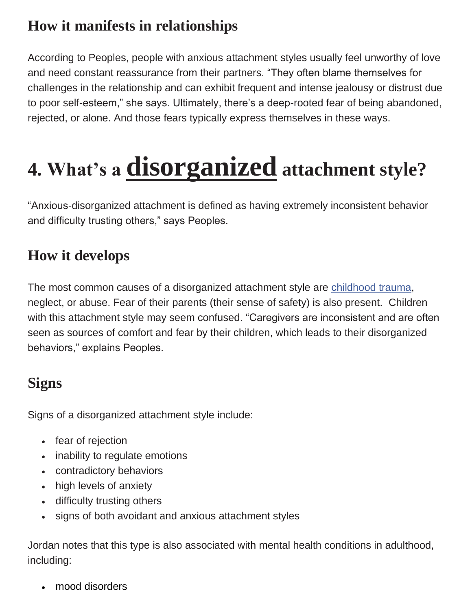### **How it manifests in relationships**

According to Peoples, people with anxious attachment styles usually feel unworthy of love and need constant reassurance from their partners. "They often blame themselves for challenges in the relationship and can exhibit frequent and intense jealousy or distrust due to poor self-esteem," she says. Ultimately, there's a deep-rooted fear of being abandoned, rejected, or alone. And those fears typically express themselves in these ways.

# **4. What's a disorganized attachment style?**

"Anxious-disorganized attachment is defined as having extremely inconsistent behavior and difficulty trusting others," says Peoples.

#### **How it develops**

The most common causes of a disorganized attachment style are [childhood trauma,](https://psychcentral.com/blog/how-childhood-trauma-affects-adult-relationships) neglect, or abuse. Fear of their parents (their sense of safety) is also present. Children with this attachment style may seem confused. "Caregivers are inconsistent and are often seen as sources of comfort and fear by their children, which leads to their disorganized behaviors," explains Peoples.

#### **Signs**

Signs of a disorganized attachment style include:

- fear of rejection
- inability to regulate emotions
- contradictory behaviors
- high levels of anxiety
- difficulty trusting others
- signs of both avoidant and anxious attachment styles

Jordan notes that this type is also associated with mental health conditions in adulthood, including:

• mood disorders